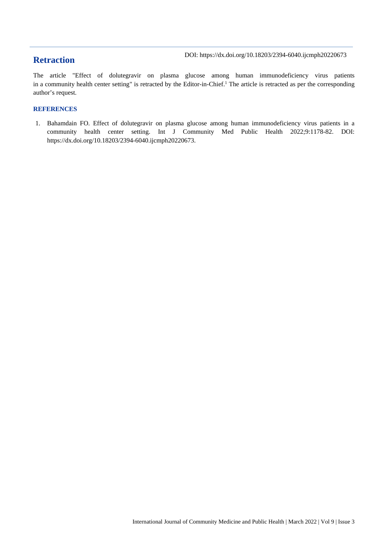## **Retraction**

The article "Effect of dolutegravir on plasma glucose among human immunodeficiency virus patients in a community health center setting" is retracted by the Editor-in-Chief.<sup>1</sup> The article is retracted as per the corresponding author's request.

#### **REFERENCES**

1. Bahamdain FO. Effect of dolutegravir on plasma glucose among human immunodeficiency virus patients in a community health center setting. Int J Community Med Public Health 2022;9:1178-82. DOI: https://dx.doi.org/10.18203/2394-6040.ijcmph20220673.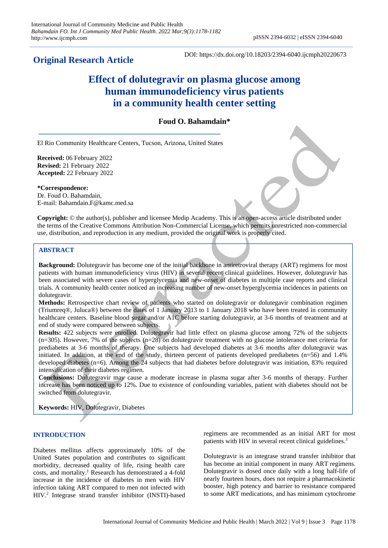## **Original Research Article**

DOI: https://dx.doi.org/10.18203/2394-6040.ijcmph20220673

# **Effect of dolutegravir on plasma glucose among human immunodeficiency virus patients in a community health center setting**

### **Foud O. Bahamdain\***

El Rio Community Healthcare Centers, Tucson, Arizona, United States

**Received:** 06 February 2022 **Revised:** 21 February 2022 **Accepted:** 22 February 2022

**\*Correspondence:** Dr. Foud O. Bahamdain, E-mail: Bahamdain.F@kamc.med.sa

**Copyright:** © the author(s), publisher and licensee Medip Academy. This is an open-access article distributed under the terms of the Creative Commons Attribution Non-Commercial License, which permits unrestricted non-commercial use, distribution, and reproduction in any medium, provided the original work is properly cited.

#### **ABSTRACT**

**Background:** Dolutegravir has become one of the initial backbone in antiretroviral therapy (ART) regimens for most patients with human immunodeficiency virus (HIV) in several recent clinical guidelines. However, dolutegravir has been associated with severe cases of hyperglycemia and new-onset of diabetes in multiple case reports and clinical trials. A community health center noticed an increasing number of new-onset hyperglycemia incidences in patients on dolutegravir.

**Methods:** Retrospective chart review of patients who started on dolutegravir or dolutegavir combination regimen (Triumreq®, Juluca®) between the dates of 1 January 2013 to 1 January 2018 who have been treated in community healthcare centers. Baseline blood sugar and/or A1C before starting dolutegravir, at 3-6 months of treatment and at end of study were compared between subjects.

**Results:** 422 subjects were enrolled. Dolutegravir had little effect on plasma glucose among 72% of the subjects (n=305). However, 7% of the subjects (n=28) on dolutegravir treatment with no glucose intolerance met criteria for prediabetes at 3-6 months of therapy. One subjects had developed diabetes at 3-6 months after dolutegravir was initiated. In addition, at the end of the study, thirteen percent of patients developed prediabetes (n=56) and 1.4% developed diabetes (n=6). Among the 24 subjects that had diabetes before dolutegravir was initiation, 83% required intensification of their diabetes regimen.

**Conclusions:** Dolutegravir may cause a moderate increase in plasma sugar after 3-6 months of therapy. Further increase has been noticed up to 12%. Due to existence of confounding variables, patient with diabetes should not be switched from dolutegravir.

**Keywords:** HIV, Dolutegravir, Diabetes

#### **INTRODUCTION**

Diabetes mellitus affects approximately 10% of the United States population and contributes to significant morbidity, decreased quality of life, rising health care costs, and mortality. <sup>1</sup> Research has demonstrated a 4-fold increase in the incidence of diabetes in men with HIV infection taking ART compared to men not infected with HIV. <sup>2</sup> Integrase strand transfer inhibitor (INSTI)-based regimens are recommended as an initial ART for most patients with HIV in several recent clinical guidelines.<sup>3</sup>

Dolutegravir is an integrase strand transfer inhibitor that has become an initial component in many ART regimens. Dolutegravir is dosed once daily with a long half-life of nearly fourteen hours, does not require a pharmacokinetic booster, high potency and barrier to resistance compared to some ART medications, and has minimum cytochrome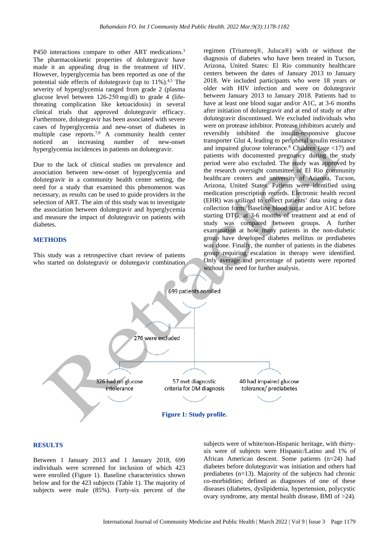P450 interactions compare to other ART medications.<sup>3</sup> The pharmacokinetic properties of dolutegravir have made it an appealing drug in the treatment of HIV. However, hyperglycemia has been reported as one of the potential side effects of dolutegravir (up to 11%).<sup>4,5</sup> The severity of hyperglycemia ranged from grade 2 (plasma glucose level between 126-250 mg/dl) to grade 4 (lifethreating complication like ketoacidosis) in several clinical trials that approved dolutegravir efficacy. Furthermore, dolutegravir has been associated with severe cases of hyperglycemia and new-onset of diabetes in multiple case reports.<sup>7,8</sup> A community health center noticed an increasing number of new-onset hyperglycemia incidences in patients on dolutegravir.

Due to the lack of clinical studies on prevalence and association between new-onset of hyperglycemia and dolutegravir in a community health center setting, the need for a study that examined this phenomenon was necessary, as results can be used to guide providers in the selection of ART. The aim of this study was to investigate the association between dolutegravir and hyperglycemia and measure the impact of dolutegravir on patients with diabetes.

#### **METHODS**

This study was a retrospective chart review of patients who started on dolutegravir or dolutegavir combination

regimen (Triumreq®, Juluca®) with or without the diagnosis of diabetes who have been treated in Tucson, Arizona, United States: El Rio community healthcare centers between the dates of January 2013 to January 2018. We included participants who were 18 years or older with HIV infection and were on dolutegravir between January 2013 to January 2018. Patients had to have at least one blood sugar and/or A1C, at 3-6 months after initiation of dolutegravir and at end of study or after dolutegravir discontinued. We excluded individuals who were on protease inhibitor. Protease inhibitors acutely and reversibly inhibited the insulin-responsive glucose transporter Glut 4, leading to peripheral insulin resistance and impaired glucose tolerance. <sup>8</sup> Children (age <17) and patients with documented pregnancy during the study period were also excluded. The study was approved by the research oversight committee of El Rio community healthcare centers and university of Arizona, Tucson, Arizona, United States. Patients were identified using medication prescription records. Electronic health record (EHR) was utilized to collect patients' data using a data collection form. Baseline blood sugar and/or A1C before starting DTG, at 3-6 months of treatment and at end of study was compared between groups. A further examination at how many patients in the non-diabetic group have developed diabetes mellitus or prediabetes was done. Finally, the number of patients in the diabetes group requiring escalation in therapy were identified. Only average and percentage of patients were reported without the need for further analysis.



#### **RESULTS**

Between 1 January 2013 and 1 January 2018, 699 individuals were screened for inclusion of which 423 were enrolled (Figure 1). Baseline characteristics shown below and for the 423 subjects (Table 1). The majority of subjects were male (85%). Forty-six percent of the

subjects were of white/non-Hispanic heritage, with thirtysix were of subjects were Hispanic/Latino and 1% of African American descent. Some patients (n=24) had diabetes before dolutegravir was initiation and others had prediabetes (n=13). Majority of the subjects had chronic co-morbidities; defined as diagnoses of one of these diseases (diabetes, dyslipidemia, hypertension, polycystic ovary syndrome, any mental health disease, BMI of >24).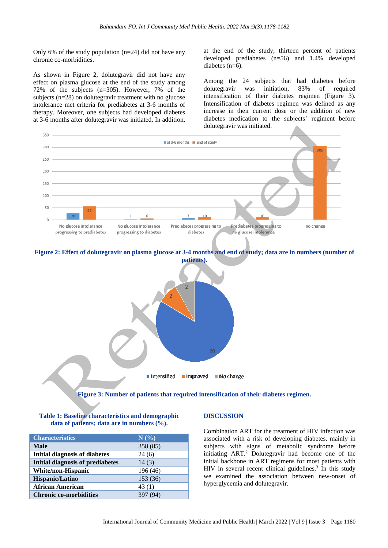Only 6% of the study population  $(n=24)$  did not have any chronic co-morbidities.

As shown in Figure 2, dolutegravir did not have any effect on plasma glucose at the end of the study among 72% of the subjects (n=305). However, 7% of the subjects (n=28) on dolutegravir treatment with no glucose intolerance met criteria for prediabetes at 3-6 months of therapy. Moreover, one subjects had developed diabetes at 3-6 months after dolutegravir was initiated. In addition,

at the end of the study, thirteen percent of patients developed prediabetes (n=56) and 1.4% developed diabetes (n=6).

Among the 24 subjects that had diabetes before dolutegravir was initiation, 83% of required intensification of their diabetes regimen (Figure 3). Intensification of diabetes regimen was defined as any increase in their current dose or the addition of new diabetes medication to the subjects' regiment before dolutegravir was initiated.



**Figure 2: Effect of dolutegravir on plasma glucose at 3-4 months and end of study; data are in numbers (number of patients).**



**Figure 3: Number of patients that required intensification of their diabetes regimen.**

| Table 1: Baseline characteristics and demographic |
|---------------------------------------------------|
| data of patients; data are in numbers $(\%).$     |

| <b>Characteristics</b>                  | $N(\%)$  |
|-----------------------------------------|----------|
| <b>Male</b>                             | 358 (85) |
| <b>Initial diagnosis of diabetes</b>    | 24(6)    |
| <b>Initial diagnosis of prediabetes</b> | 14(3)    |
| White/non-Hispanic                      | 196 (46) |
| Hispanic/Latino                         | 153 (36) |
| <b>African American</b>                 | 43(1)    |
| <b>Chronic co-morbidities</b>           |          |

#### **DISCUSSION**

Combination ART for the treatment of HIV infection was associated with a risk of developing diabetes, mainly in subjects with signs of metabolic syndrome before initiating ART. <sup>2</sup> Dolutegravir had become one of the initial backbone in ART regimens for most patients with HIV in several recent clinical guidelines. <sup>3</sup> In this study we examined the association between new-onset of hyperglycemia and dolutegravir.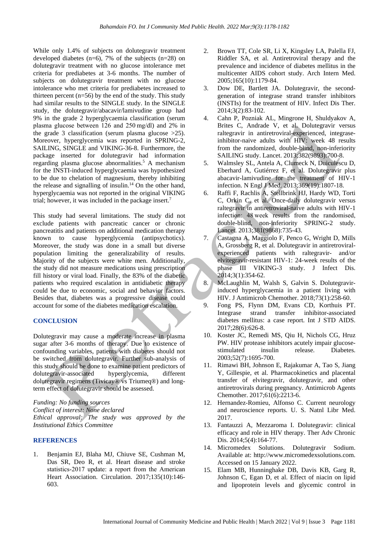While only 1.4% of subjects on dolutegravir treatment developed diabetes  $(n=6)$ , 7% of the subjects  $(n=28)$  on dolutegravir treatment with no glucose intolerance met criteria for prediabetes at 3-6 months. The number of subjects on dolutegravir treatment with no glucose intolerance who met criteria for prediabetes increased to thirteen percent  $(n=56)$  by the end of the study. This study had similar results to the SINGLE study. In the SINGLE study, the dolutegravir/abacavir/lamivudine group had 9% in the grade 2 hyperglycaemia classification (serum plasma glucose between 126 and 250 mg/dl) and 2% in the grade 3 classification (serum plasma glucose  $>25$ ). Moreover, hyperglycemia was reported in SPRING-2, SAILING, SINGLE and VIKING-36-8. Furthermore, the package inserted for dolutegravir had information regarding plasma glucose abnormalities. <sup>5</sup> A mechanism for the INSTI-induced hyperglycaemia was hypothesized to be due to chelation of magnesium, thereby inhibiting the release and signalling of insulin. <sup>14</sup> On the other hand, hyperglycaemia was not reported in the original VIKING trial; however, it was included in the package insert. 7

This study had several limitations. The study did not exclude patients with pancreatic cancer or chronic pancreatitis and patients on additional medication therapy known to cause hyperglycemia (antipsychotics). Moreover, the study was done in a small but diverse population limiting the generalizability of results. Majority of the subjects were white men. Additionally, the study did not measure medications using prescription fill history or viral load. Finally, the 83% of the diabetic patients who required escalation in antidiabetic therapy could be due to economic, social and behavior factors. Besides that, diabetes was a progressive disease could account for some of the diabetes medication escalation.

#### **CONCLUSION**

Dolutegravir may cause a moderate increase in plasma sugar after 3-6 months of therapy. Due to existence of confounding variables, patients with diabetes should not be switched from dolutegravir. Further sub-analysis of this study should be done to examine patient predictors of dolutegravir-associated hyperglycemia, different dolutegravir regimens (Tivicay® vs Triumeq®) and longterm effect of dolutegravir should be assessed.

*Funding: No funding sources*

*Conflict of interest: None declared*

*Ethical approval: The study was approved by the Institutional Ethics Committee*

#### **REFERENCES**

1. Benjamin EJ, Blaha MJ, Chiuve SE, Cushman M, Das SR, Deo R, et al. Heart disease and stroke statistics‐2017 update: a report from the American Heart Association. Circulation. 2017;135(10):146- 603.

- 2. Brown TT, Cole SR, Li X, Kingsley LA, Palella FJ, Riddler SA, et al. Antiretroviral therapy and the prevalence and incidence of diabetes mellitus in the multicenter AIDS cohort study. Arch Intern Med. 2005;165(10):1179-84.
- 3. Dow DE, Bartlett JA. Dolutegravir, the secondgeneration of integrase strand transfer inhibitors (INSTIs) for the treatment of HIV. Infect Dis Ther. 2014;3(2):83-102.
- 4. Cahn P, Pozniak AL, Mingrone H, Shuldyakov A, Brites C, Andrade V, et al. Dolutegravir versus raltegravir in antiretroviral-experienced, integraseinhibitor-naive adults with HIV: week 48 results from the randomized, double-blind, non-inferiority SAILING study. Lancet. 2013;382(9893):700-8.
- 5. Walmsley SL, Antela A, Clumeck N, Duiculescu D, Eberhard A, Gutiérrez F, et al. Dolutegravir plus abacavir-lamivudine for the treatment of HIV-1 infection. N Engl J Med. 2013;369(19):1807-18.
- 6. Raffi F, Rachlis A, Stellbrink HJ, Hardy WD, Torti C, Orkin C, et al. Once-daily dolutegravir versus raltegravir in antiretroviral-naive adults with HIV-1 infection: 48 week results from the randomised, double-blind, non-inferiority SPRING-2 study. Lancet. 2013;381(9868):735-43.
- 7. Castagna A, Maggiolo F, Penco G, Wright D, Mills A, Grossberg R, et al. Dolutegravir in antiretroviralexperienced patients with raltegravir- and/or elvitegravir-resistant HIV-1: 24-week results of the phase III VIKING-3 study. J Infect Dis. 2014;3(1):354-62.
- 8. McLaughlin M, Walsh S, Galvin S. Dolutegravirinduced hyperglycaemia in a patient living with HIV. J Antimicrob Chemother. 2018;73(1):258-60.
- 9. Fong PS, Flynn DM, Evans CD, Korthuis PT. Integrase strand transfer inhibitor-associated diabetes mellitus: a case report. Int J STD AIDS. 2017;28(6):626-8.
- 10. Koster JC, Remedi MS, Qiu H, Nichols CG, Hruz PW. HIV protease inhibitors acutely impair glucosestimulated insulin release. Diabetes. 2003;52(7):1695-700.
- 11. Rimawi BH, Johnson E, Rajakumar A, Tao S, Jiang Y, Gillespie, et al. Pharmacokinetics and placental transfer of elvitegravir, dolutegravir, and other antiretrovirals during pregnancy. Antimicrob Agents Chemother. 2017;61(6):2213-6.
- 12. Hernandez-Romieu, Alfonso C. Current neurology and neuroscience reports. U. S. Natnl Libr Med. 2017.
- 13. Fantauzzi A, Mezzaroma I. Dolutegravir: clinical efficacy and role in HIV therapy. Ther Adv Chronic Dis. 2014;5(4):164-77.
- 14. Micromedex Solutions. Dolutegravir Sodium. Available at: http://www.micromedexsolutions.com. Accessed on 15 January 2022.
- 15. Elam MB, Hunninghake DB, Davis KB, Garg R, Johnson C, Egan D, et al. Effect of niacin on lipid and lipoprotein levels and glycemic control in